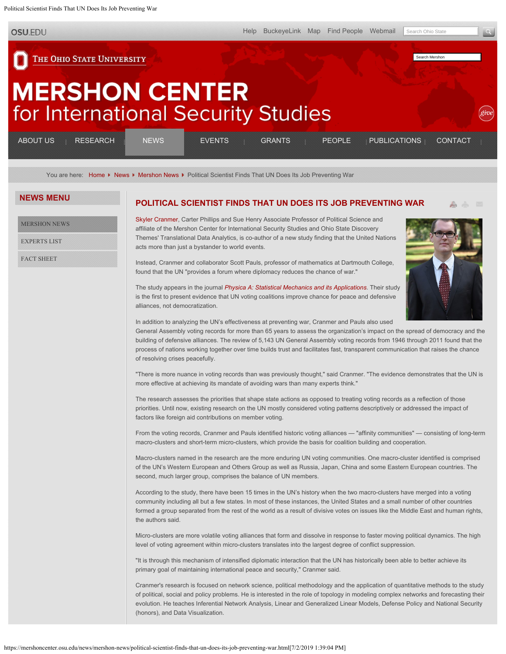<span id="page-0-0"></span>Political Scientist Finds That UN Does Its Job Preventing War

**OSU.EDU** 

Search Mershon

## THE OHIO STATE UNIVERSITY

# **MERSHON CENTER** for International Security Studies

| __________<br><b>RESEARCH</b><br>IUS<br>_________<br>_____________<br>________<br>--------<br><b>Contract Contract Contract Contract</b><br>.                                                                                                                                                                                                                                                                                                                                                                                                                                                                                                                                                         | NFWS | <b>VENTS</b><br>--------<br>.                                                                                                                                         | <b>GRANTS</b><br>_______<br>__________<br>.<br>.                                                                          | PEOPLE<br>_____________<br>_____________<br>.<br>---------                                                                  | <b>PUBLICATIONS</b><br>________<br>_______<br>--------                                                                             | <b>CONTACT</b><br>______<br>.                                                                                                                                                              |
|-------------------------------------------------------------------------------------------------------------------------------------------------------------------------------------------------------------------------------------------------------------------------------------------------------------------------------------------------------------------------------------------------------------------------------------------------------------------------------------------------------------------------------------------------------------------------------------------------------------------------------------------------------------------------------------------------------|------|-----------------------------------------------------------------------------------------------------------------------------------------------------------------------|---------------------------------------------------------------------------------------------------------------------------|-----------------------------------------------------------------------------------------------------------------------------|------------------------------------------------------------------------------------------------------------------------------------|--------------------------------------------------------------------------------------------------------------------------------------------------------------------------------------------|
| ------------<br>--------------<br>and the property of the contract of the contract of the contract of the contract of the contract of the contract of the contract of the contract of the contract of the contract of the contract of the contract of the contra<br>_________<br><br>,,,,,,,,,,,,,,,,,<br>.<br><br>-----------<br>------------<br>-------------<br>.<br>----------<br>.<br>.<br>_______<br>________<br>_______<br>.<br>--------<br>.<br>--------<br>-----------<br><br>____________<br>_________<br><b>A CONTRACTOR CONTRACTOR</b><br>--------<br>.<br>.<br>_________<br>____________<br>___________<br>_________<br>and the control of the control of the con-<br>.<br>.<br>-------- |      | ___________<br>_________<br>_______<br><br><br>-----------<br>________<br>_______<br>--------<br>______<br>-------<br>.<br>______<br>________<br>________<br>-------- | _________<br>___________<br>.<br>_______<br>________<br>______<br>--------<br>.<br>________<br>________<br>.<br>--------- | <br>---------------<br>.<br>_________<br>________<br>______<br>---------<br>---------<br>________<br>_________<br>--------- | __________<br>_________<br>__________<br>.<br>.<br><br>________<br>________<br>_______<br>______<br>.<br>--------<br>.<br>________ | -------------<br>________<br>________<br>.<br>.<br>---------<br>-------<br>---------<br><br>.<br>------------<br>________<br>-------<br>--------<br>------------<br>---------<br>--------- |

You are here: [Home](https://mershoncenter.osu.edu/) K [News](https://mershoncenter.osu.edu/news.html) K [Mershon News](https://mershoncenter.osu.edu/news/mershon-news.html) K Political Scientist Finds That UN Does Its Job Preventing War

### **NEWS MENU**

[MERSHON NEWS](https://mershoncenter.osu.edu/news/mershon-news.html)

[EXPERTS LIST](https://mershoncenter.osu.edu/news/experts-list.html)

[FACT SHEET](https://mershoncenter.osu.edu/news/fact-sheet.html)

#### **[POLITICAL SCIENTIST FINDS THAT UN DOES ITS JOB PREVENTING WAR](#page-0-0)**

[Skyler Cranmer](https://mershoncenter.osu.edu/index.php/people/faculty/skyler-cranmer), Carter Phillips and Sue Henry Associate Professor of Political Science and affiliate of the Mershon Center for International Security Studies and Ohio State Discovery Themes' Translational Data Analytics, is co-author of a new study finding that the United Nations acts more than just a bystander to world events.

Instead, Cranmer and collaborator Scott Pauls, professor of mathematics at Dartmouth College, found that the UN "provides a forum where diplomacy reduces the chance of war."



The study appears in the journal *[Physica A: Statistical Mechanics and its Applications](http://www.sciencedirect.com/science/article/pii/S0378437117304879)*. Their study is the first to present evidence that UN voting coalitions improve chance for peace and defensive alliances, not democratization.

In addition to analyzing the UN's effectiveness at preventing war, Cranmer and Pauls also used

General Assembly voting records for more than 65 years to assess the organization's impact on the spread of democracy and the building of defensive alliances. The review of 5,143 UN General Assembly voting records from 1946 through 2011 found that the process of nations working together over time builds trust and facilitates fast, transparent communication that raises the chance of resolving crises peacefully.

"There is more nuance in voting records than was previously thought," said Cranmer. "The evidence demonstrates that the UN is more effective at achieving its mandate of avoiding wars than many experts think."

The research assesses the priorities that shape state actions as opposed to treating voting records as a reflection of those priorities. Until now, existing research on the UN mostly considered voting patterns descriptively or addressed the impact of factors like foreign aid contributions on member voting.

From the voting records, Cranmer and Pauls identified historic voting alliances — "affinity communities" — consisting of long-term macro-clusters and short-term micro-clusters, which provide the basis for coalition building and cooperation.

Macro-clusters named in the research are the more enduring UN voting communities. One macro-cluster identified is comprised of the UN's Western European and Others Group as well as Russia, Japan, China and some Eastern European countries. The second, much larger group, comprises the balance of UN members.

According to the study, there have been 15 times in the UN's history when the two macro-clusters have merged into a voting community including all but a few states. In most of these instances, the United States and a small number of other countries formed a group separated from the rest of the world as a result of divisive votes on issues like the Middle East and human rights, the authors said.

Micro-clusters are more volatile voting alliances that form and dissolve in response to faster moving political dynamics. The high level of voting agreement within micro-clusters translates into the largest degree of conflict suppression.

"It is through this mechanism of intensified diplomatic interaction that the UN has historically been able to better achieve its primary goal of maintaining international peace and security," Cranmer said.

Cranmer's research is focused on network science, political methodology and the application of quantitative methods to the study of political, social and policy problems. He is interested in the role of topology in modeling complex networks and forecasting their evolution. He teaches Inferential Network Analysis, Linear and Generalized Linear Models, Defense Policy and National Security (honors), and Data Visualization.